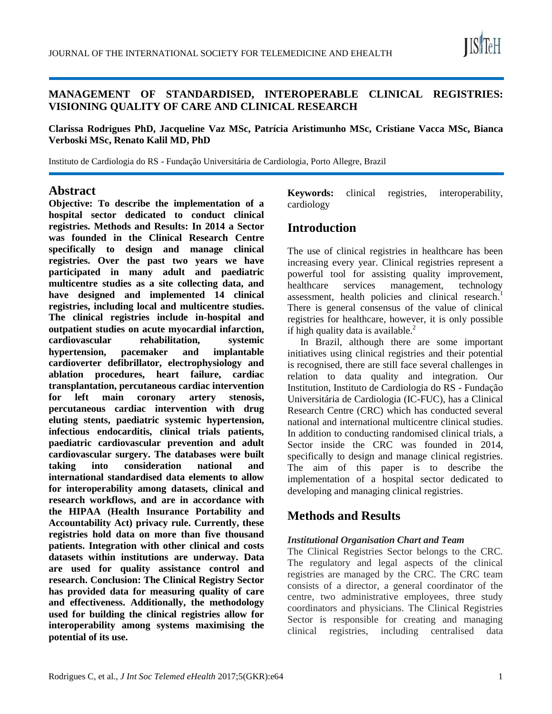

### **MANAGEMENT OF STANDARDISED, INTEROPERABLE CLINICAL REGISTRIES: VISIONING QUALITY OF CARE AND CLINICAL RESEARCH**

**Clarissa Rodrigues PhD, Jacqueline Vaz MSc, Patrícia Aristimunho MSc, Cristiane Vacca MSc, Bianca Verboski MSc, Renato Kalil MD, PhD**

Instituto de Cardiologia do RS - Fundação Universitária de Cardiologia, Porto Allegre, Brazil

### **Abstract**

**Objective: To describe the implementation of a hospital sector dedicated to conduct clinical registries. Methods and Results: In 2014 a Sector was founded in the Clinical Research Centre specifically to design and manage clinical registries. Over the past two years we have participated in many adult and paediatric multicentre studies as a site collecting data, and have designed and implemented 14 clinical registries, including local and multicentre studies. The clinical registries include in-hospital and outpatient studies on acute myocardial infarction, cardiovascular rehabilitation, systemic hypertension, pacemaker and implantable cardioverter defibrillator, electrophysiology and ablation procedures, heart failure, cardiac transplantation, percutaneous cardiac intervention for left main coronary artery stenosis, percutaneous cardiac intervention with drug eluting stents, paediatric systemic hypertension, infectious endocarditis, clinical trials patients, paediatric cardiovascular prevention and adult cardiovascular surgery. The databases were built taking into consideration national and international standardised data elements to allow for interoperability among datasets, clinical and research workflows, and are in accordance with the HIPAA (Health Insurance Portability and Accountability Act) privacy rule. Currently, these registries hold data on more than five thousand patients. Integration with other clinical and costs datasets within institutions are underway. Data are used for quality assistance control and research. Conclusion: The Clinical Registry Sector has provided data for measuring quality of care and effectiveness. Additionally, the methodology used for building the clinical registries allow for interoperability among systems maximising the potential of its use.** 

**Keywords:** clinical registries, interoperability, cardiology

## **Introduction**

The use of clinical registries in healthcare has been increasing every year. Clinical registries represent a powerful tool for assisting quality improvement, healthcare services management, technology assessment, health policies and clinical research.<sup>1</sup> There is general consensus of the value of clinical registries for healthcare, however, it is only possible if high quality data is available. $<sup>2</sup>$ </sup>

In Brazil, although there are some important initiatives using clinical registries and their potential is recognised, there are still face several challenges in relation to data quality and integration. Our Institution, Instituto de Cardiologia do RS - Fundação Universitária de Cardiologia (IC-FUC), has a Clinical Research Centre (CRC) which has conducted several national and international multicentre clinical studies. In addition to conducting randomised clinical trials, a Sector inside the CRC was founded in 2014, specifically to design and manage clinical registries. The aim of this paper is to describe the implementation of a hospital sector dedicated to developing and managing clinical registries.

## **Methods and Results**

#### *Institutional Organisation Chart and Team*

The Clinical Registries Sector belongs to the CRC. The regulatory and legal aspects of the clinical registries are managed by the CRC. The CRC team consists of a director, a general coordinator of the centre, two administrative employees, three study coordinators and physicians. The Clinical Registries Sector is responsible for creating and managing clinical registries, including centralised data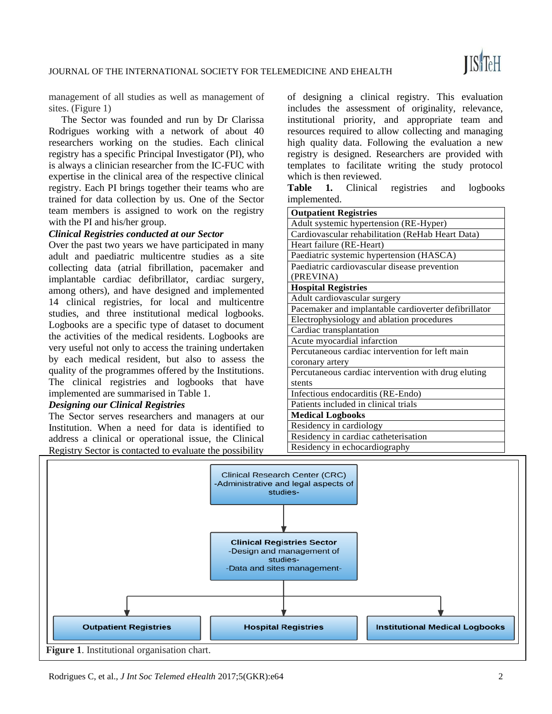management of all studies as well as management of sites. (Figure 1)

The Sector was founded and run by Dr Clarissa Rodrigues working with a network of about 40 researchers working on the studies. Each clinical registry has a specific Principal Investigator (PI), who is always a clinician researcher from the IC-FUC with expertise in the clinical area of the respective clinical registry. Each PI brings together their teams who are trained for data collection by us. One of the Sector team members is assigned to work on the registry with the PI and his/her group.

#### *Clinical Registries conducted at our Sector*

Over the past two years we have participated in many adult and paediatric multicentre studies as a site collecting data (atrial fibrillation, pacemaker and implantable cardiac defibrillator, cardiac surgery, among others), and have designed and implemented 14 clinical registries, for local and multicentre studies, and three institutional medical logbooks. Logbooks are a specific type of dataset to document the activities of the medical residents. Logbooks are very useful not only to access the training undertaken by each medical resident, but also to assess the quality of the programmes offered by the Institutions. The clinical registries and logbooks that have implemented are summarised in Table 1.

#### *Designing our Clinical Registries*

The Sector serves researchers and managers at our Institution. When a need for data is identified to address a clinical or operational issue, the Clinical Registry Sector is contacted to evaluate the possibility

of designing a clinical registry. This evaluation includes the assessment of originality, relevance, institutional priority, and appropriate team and resources required to allow collecting and managing high quality data. Following the evaluation a new registry is designed. Researchers are provided with templates to facilitate writing the study protocol which is then reviewed.

**Table 1.** Clinical registries and logbooks implemented.

| <b>Outpatient Registries</b>                         |
|------------------------------------------------------|
| Adult systemic hypertension (RE-Hyper)               |
| Cardiovascular rehabilitation (ReHab Heart Data)     |
| Heart failure (RE-Heart)                             |
| Paediatric systemic hypertension (HASCA)             |
| Paediatric cardiovascular disease prevention         |
| (PREVINA)                                            |
| <b>Hospital Registries</b>                           |
| Adult cardiovascular surgery                         |
| Pacemaker and implantable cardioverter defibrillator |
| Electrophysiology and ablation procedures            |
| Cardiac transplantation                              |
| Acute myocardial infarction                          |
| Percutaneous cardiac intervention for left main      |
| coronary artery                                      |
| Percutaneous cardiac intervention with drug eluting  |
| stents                                               |
| Infectious endocarditis (RE-Endo)                    |
| Patients included in clinical trials                 |
| <b>Medical Logbooks</b>                              |
| Residency in cardiology                              |
| Residency in cardiac catheterisation                 |
| Residency in echocardiography                        |



Rodrigues C, et al., *J Int Soc Telemed eHealth* 2017;5(GKR):e64 2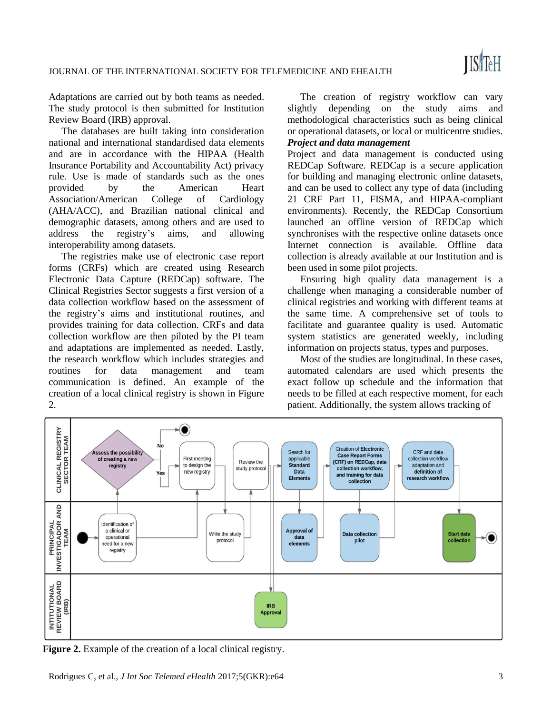Rodrigues C, et al., *J Int Soc Telemed eHealth* 2017;5(GKR):e64 3

**Figure 2.** Example of the creation of a local clinical registry.

Adaptations are carried out by both teams as needed. The study protocol is then submitted for Institution Review Board (IRB) approval.

The databases are built taking into consideration national and international standardised data elements and are in accordance with the HIPAA (Health Insurance Portability and Accountability Act) privacy rule. Use is made of standards such as the ones provided by the American Heart Association/American College of Cardiology (AHA/ACC), and Brazilian national clinical and demographic datasets, among others and are used to address the registry's aims, and allowing interoperability among datasets.

The registries make use of electronic case report forms (CRFs) which are created using Research Electronic Data Capture (REDCap) software. The Clinical Registries Sector suggests a first version of a data collection workflow based on the assessment of the registry's aims and institutional routines, and provides training for data collection. CRFs and data collection workflow are then piloted by the PI team and adaptations are implemented as needed. Lastly, the research workflow which includes strategies and routines for data management and team communication is defined. An example of the creation of a local clinical registry is shown in Figure 2.

The creation of registry workflow can vary slightly depending on the study aims and methodological characteristics such as being clinical or operational datasets, or local or multicentre studies. *Project and data management*

Project and data management is conducted using REDCap Software. REDCap is a secure application for building and managing electronic online datasets, and can be used to collect any type of data (including 21 CRF Part 11, FISMA, and HIPAA-compliant environments). Recently, the REDCap Consortium launched an offline version of REDCap which synchronises with the respective online datasets once Internet connection is available. Offline data collection is already available at our Institution and is been used in some pilot projects.

Ensuring high quality data management is a challenge when managing a considerable number of clinical registries and working with different teams at the same time. A comprehensive set of tools to facilitate and guarantee quality is used. Automatic system statistics are generated weekly, including information on projects status, types and purposes.

Most of the studies are longitudinal. In these cases, automated calendars are used which presents the exact follow up schedule and the information that needs to be filled at each respective moment, for each patient. Additionally, the system allows tracking of

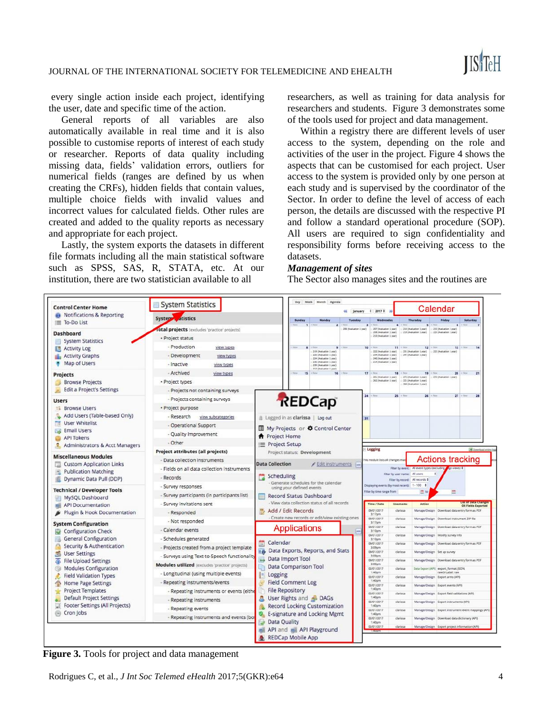

every single action inside each project, identifying the user, date and specific time of the action.

General reports of all variables are also automatically available in real time and it is also possible to customise reports of interest of each study or researcher. Reports of data quality including missing data, fields' validation errors, outliers for numerical fields (ranges are defined by us when creating the CRFs), hidden fields that contain values, multiple choice fields with invalid values and incorrect values for calculated fields. Other rules are created and added to the quality reports as necessary and appropriate for each project.

Lastly, the system exports the datasets in different file formats including all the main statistical software such as SPSS, SAS, R, STATA, etc. At our institution, there are two statistician available to all

researchers, as well as training for data analysis for researchers and students. Figure 3 demonstrates some of the tools used for project and data management.

Within a registry there are different levels of user access to the system, depending on the role and activities of the user in the project. Figure 4 shows the aspects that can be customised for each project. User access to the system is provided only by one person at each study and is supervised by the coordinator of the Sector. In order to define the level of access of each person, the details are discussed with the respective PI and follow a standard operational procedure (SOP). All users are required to sign confidentiality and responsibility forms before receiving access to the datasets.

#### *Management of sites*

The Sector also manages sites and the routines are



**Figure 3.** Tools for project and data management